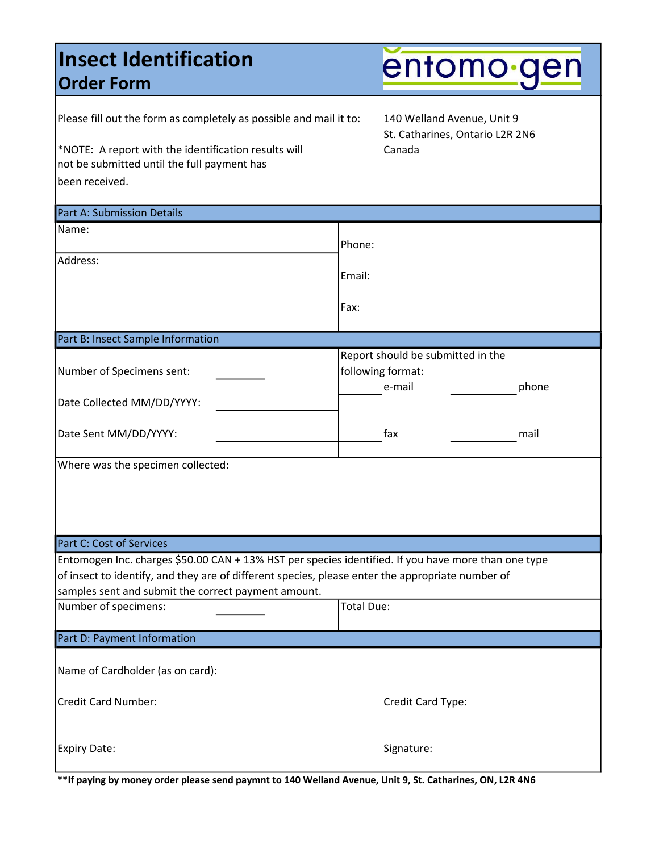### Insect Identification Order Form

entomo gen

| Please fill out the form as completely as possible and mail it to:<br>*NOTE: A report with the identification results will<br>not be submitted until the full payment has<br>been received.                                                                    | 140 Welland Avenue, Unit 9<br>St. Catharines, Ontario L2R 2N6<br>Canada |       |
|----------------------------------------------------------------------------------------------------------------------------------------------------------------------------------------------------------------------------------------------------------------|-------------------------------------------------------------------------|-------|
| Part A: Submission Details                                                                                                                                                                                                                                     |                                                                         |       |
| Name:                                                                                                                                                                                                                                                          | Phone:                                                                  |       |
| Address:                                                                                                                                                                                                                                                       | Email:                                                                  |       |
|                                                                                                                                                                                                                                                                | Fax:                                                                    |       |
| Part B: Insect Sample Information                                                                                                                                                                                                                              |                                                                         |       |
| Number of Specimens sent:                                                                                                                                                                                                                                      | Report should be submitted in the<br>following format:<br>e-mail        | phone |
| Date Collected MM/DD/YYYY:                                                                                                                                                                                                                                     |                                                                         |       |
| Date Sent MM/DD/YYYY:                                                                                                                                                                                                                                          | fax                                                                     | mail  |
| Where was the specimen collected:                                                                                                                                                                                                                              |                                                                         |       |
| Part C: Cost of Services                                                                                                                                                                                                                                       |                                                                         |       |
| Entomogen Inc. charges \$50.00 CAN + 13% HST per species identified. If you have more than one type<br>of insect to identify, and they are of different species, please enter the appropriate number of<br>samples sent and submit the correct payment amount. |                                                                         |       |
| Number of specimens:                                                                                                                                                                                                                                           | Total Due:                                                              |       |
| Part D: Payment Information                                                                                                                                                                                                                                    |                                                                         |       |
| Name of Cardholder (as on card):                                                                                                                                                                                                                               |                                                                         |       |
| <b>Credit Card Number:</b>                                                                                                                                                                                                                                     | Credit Card Type:                                                       |       |
| <b>Expiry Date:</b>                                                                                                                                                                                                                                            | Signature:                                                              |       |

\*\*If paying by money order please send paymnt to 140 Welland Avenue, Unit 9, St. Catharines, ON, L2R 4N6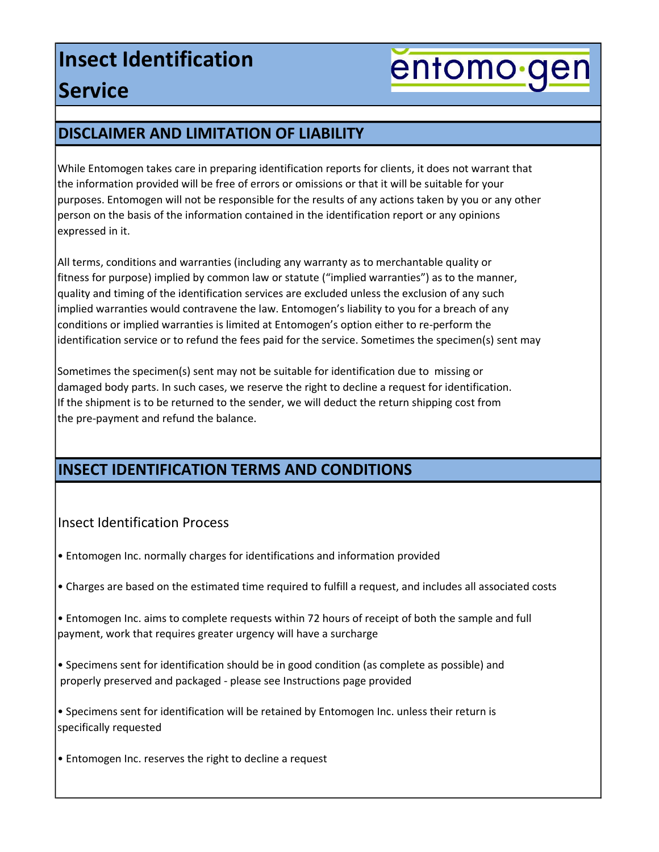## Insect Identification **Service**

# entomo gen

#### DISCLAIMER AND LIMITATION OF LIABILITY

While Entomogen takes care in preparing identification reports for clients, it does not warrant that the information provided will be free of errors or omissions or that it will be suitable for your purposes. Entomogen will not be responsible for the results of any actions taken by you or any other person on the basis of the information contained in the identification report or any opinions expressed in it.

All terms, conditions and warranties (including any warranty as to merchantable quality or fitness for purpose) implied by common law or statute ("implied warranties") as to the manner, quality and timing of the identification services are excluded unless the exclusion of any such implied warranties would contravene the law. Entomogen's liability to you for a breach of any conditions or implied warranties is limited at Entomogen's option either to re-perform the identification service or to refund the fees paid for the service. Sometimes the specimen(s) sent may

Sometimes the specimen(s) sent may not be suitable for identification due to missing or damaged body parts. In such cases, we reserve the right to decline a request for identification. If the shipment is to be returned to the sender, we will deduct the return shipping cost from the pre-payment and refund the balance.

#### INSECT IDENTIFICATION TERMS AND CONDITIONS

#### Insect Identification Process

• Entomogen Inc. normally charges for identifications and information provided

• Charges are based on the estimated time required to fulfill a request, and includes all associated costs

• Entomogen Inc. aims to complete requests within 72 hours of receipt of both the sample and full payment, work that requires greater urgency will have a surcharge

• Specimens sent for identification should be in good condition (as complete as possible) and properly preserved and packaged - please see Instructions page provided

• Specimens sent for identification will be retained by Entomogen Inc. unless their return is specifically requested

• Entomogen Inc. reserves the right to decline a request